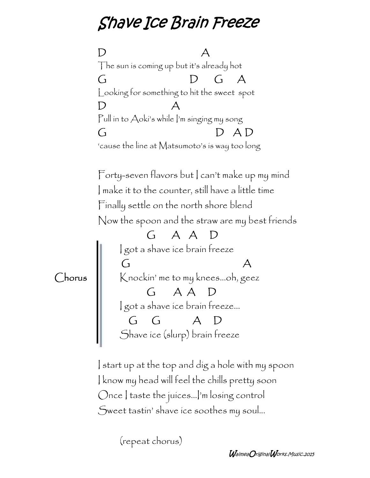## *Shave Ice Brain Freeze*

**D A** The sun is coming up but it's already hot **G D G A** Looking for something to hit the sweet spot **D A** Pull in to Aoki's while I'm singing my song **G D A D** 'cause the line at Matsumoto's is way too long Forty-seven flavors but | can't make up my mind I make it to the counter, still have a little time Finally settle on the north shore blend Now the spoon and the straw are my best friends **G A A D** I got a shave ice brain freeze **G A** Chorus  $\|\cdot\|$  Knockin' me to my knees...oh, geez **G A A D** I got a shave ice brain freeze... **G G A D** Shave ice (slurp) brain freeze

> I start up at the top and dig a hole with my spoon I know my head will feel the chills pretty soon Once | taste the juices...|'m losing control Sweet tastin' shave ice soothes my soul...

> > (repeat chorus)

*WaimeaOriginalWorks.Music.2015*